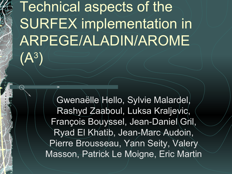# Technical aspects of the SURFEX implementation in ARPEGE/ALADIN/AROME  $(A^3)$

Gwenaëlle Hello, Sylvie Malardel, Rashyd Zaaboul, Luksa Kraljevic, François Bouyssel, Jean-Daniel Gril, Ryad El Khatib, Jean-Marc Audoin, Pierre Brousseau, Yann Seity, Valery Masson, Patrick Le Moigne, Eric Martin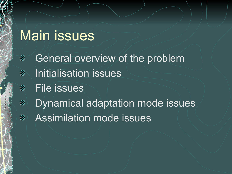# Main issues

General overview of the problem 数 Initialisation issues 数 File issues ₩ Dynamical adaptation mode issues ₩ Assimilation mode issues₩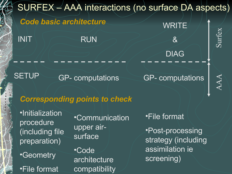

# *Corresponding points to check*

•Initialization procedure (including file preparation)

•Geometry

•File format

•Communication upper airsurface •Code

architecture compatibility •File format

•Post-processing strategy (including assimilation ie screening)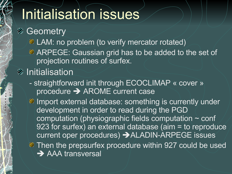# Initialisation issues

**<sup>■</sup>** Geometry

**A** LAM: no problem (to verify mercator rotated)

**ARPEGE: Gaussian grid has to be added to the set of** projection routines of surfex.

#### *M* Initialisation

- straightforward init through ECOCLIMAP « cover » procedure  $\rightarrow$  AROME current case

Import external database: something is currently under development in order to read during the PGD computation (physiographic fields computation ~ conf 923 for surfex) an external database (aim = to reproduce current oper procedures) → ALADIN-ARPEGE issues

**Then the prepsurfex procedure within 927 could be used → AAA transversal**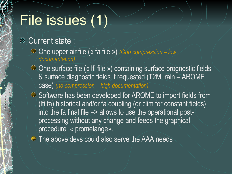# File issues (1)

#### **& Current state :**

- One upper air file (« fa file ») *(Grib compression low documentation)*
- **the Chensurface file (« Ifi file ») containing surface prognostic fields** & surface diagnostic fields if requested (T2M, rain – AROME case) *(no compression – high documentation)*
- Software has been developed for AROME to import fields from (lfi,fa) historical and/or fa coupling (or clim for constant fields) into the fa final file  $\Rightarrow$  allows to use the operational postprocessing without any change and feeds the graphical procedure « promelange».
- **The above devs could also serve the AAA needs**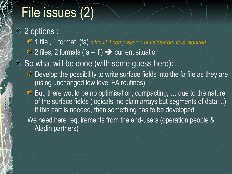# File issues (2)

<sup>2</sup> 2 options : 1 file , 1 format (fa) *difficult if compression of fields-from lfi is required*  $\gg$  2 files, 2 formats (fa – lfi)  $\rightarrow$  current situation **■ So what will be done (with some guess here): EX** Develop the possibility to write surface fields into the fa file as they are (using unchanged low level FA routines) **But, there would be no optimisation, compacting, ... due to the nature** of the surface fields (logicals, no plain arrays but segments of data, ..). If this part is needed, then something has to be developed We need here requirements from the end-users (operation people & Aladin partners)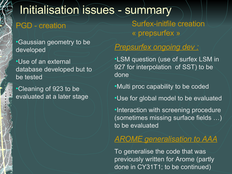## Initialisation issues - summary

•Gaussian geometry to be developed

•Use of an external database developed but to be tested

•Cleaning of 923 to be evaluated at a later stage

PGD - creation Surfex-initfile creation « prepsurfex »

#### *Prepsurfex ongoing dev :*

•LSM question (use of surfex LSM in 927 for interpolation of SST) to be done

•Multi proc capability to be coded

•Use for global model to be evaluated

•Interaction with screening procedure (sometimes missing surface fields …) to be evaluated

#### *AROME generalisation to AAA*

To generalise the code that was previously written for Arome (partly done in CY31T1; to be continued)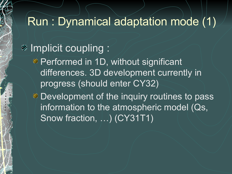## Run : Dynamical adaptation mode (1)

## *Mean Implicit coupling:*

**Performed in 1D, without significant** differences. 3D development currently in progress (should enter CY32)

**Example 1** Development of the inquiry routines to pass information to the atmospheric model (Qs, Snow fraction, ...) (CY31T1)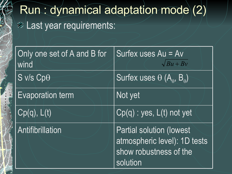# Run : dynamical adaptation mode (2) **EXALAST year requirements:**

| Only one set of A and B for<br>wind | Surfex uses Au = Av<br>$\sqrt{Bu + Bv}$                                                                |
|-------------------------------------|--------------------------------------------------------------------------------------------------------|
| $S$ v/s $Cp\theta$                  | Surfex uses $\theta$ (A <sub>e</sub> , B <sub>e</sub> )                                                |
| <b>Evaporation term</b>             | Not yet                                                                                                |
| Cp(q), L(t)                         | $Cp(q)$ : yes, $L(t)$ not yet                                                                          |
| <b>Antifibrillation</b>             | <b>Partial solution (lowest)</b><br>atmospheric level): 1D tests<br>show robustness of the<br>solution |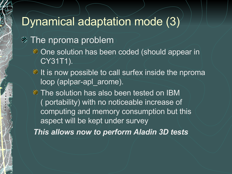## Dynamical adaptation mode (3)

**<sup>\*</sup>** The nproma problem

- One solution has been coded (should appear in CY31T1).
- It is now possible to call surfex inside the nproma loop (aplpar-apl\_arome).
- **The solution has also been tested on IBM** ( portability) with no noticeable increase of computing and memory consumption but this aspect will be kept under survey

*This allows now to perform Aladin 3D tests*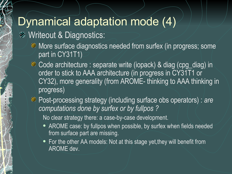## Dynamical adaptation mode (4)

#### **EXAMPLE IN Writeout & Diagnostics:**

- More surface diagnostics needed from surfex (in progress; some part in CY31T1)
- Code architecture : separate write (iopack) & diag (cpg\_diag) in order to stick to AAA architecture (in progress in CY31T1 or CY32), more generality (from AROME- thinking to AAA thinking in progress)
- Post-processing strategy (including surface obs operators) : *are computations done by surfex or by fullpos ?*

No clear strategy there: a case-by-case development.

- AROME case: by fullpos when possible, by surfex when fields needed from surface part are missing.
- For the other AA models: Not at this stage yet, they will benefit from AROME dev.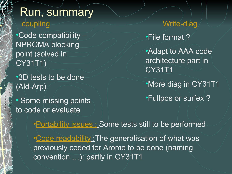### Run, summary coupling

•Code compatibility – NPROMA blocking point (solved in CY31T1)

•3D tests to be done (Ald-Arp)

• Some missing points to code or evaluate

Write-diag •File format ? •Adapt to AAA code architecture part in CY31T1 •More diag in CY31T1

•Fullpos or surfex ?

•**Portability issues : Some tests still to be performed** •Code readability : The generalisation of what was previously coded for Arome to be done (naming convention …): partly in CY31T1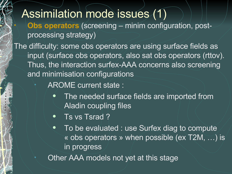#### Assimilation mode issues (1) • **Obs operators** (screening – minim configuration, postprocessing strategy) The difficulty: some obs operators are using surface fields as input (surface obs operators, also sat obs operators (rttov). Thus, the interaction surfex-AAA concerns also screening and minimisation configurations

- AROME current state :
	- The needed surface fields are imported from Aladin coupling files
	- Ts vs Tsrad?
	- To be evaluated : use Surfex diag to compute « obs operators » when possible (ex T2M, …) is in progress
- Other AAA models not yet at this stage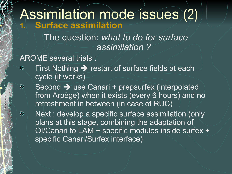## Assimilation mode issues (2) **1. Surface assimilation**

The question: *what to do for surface assimilation ?*

AROME several trials :

矏

99

- First Nothing  $\rightarrow$  restart of surface fields at each 霧 cycle (it works)
	- Second  $\rightarrow$  use Canari + prepsurfex (interpolated from Arpège) when it exists (every 6 hours) and no refreshment in between (in case of RUC)

Next : develop a specific surface assimilation (only plans at this stage, combining the adaptation of OI/Canari to LAM + specific modules inside surfex + specific Canari/Surfex interface)